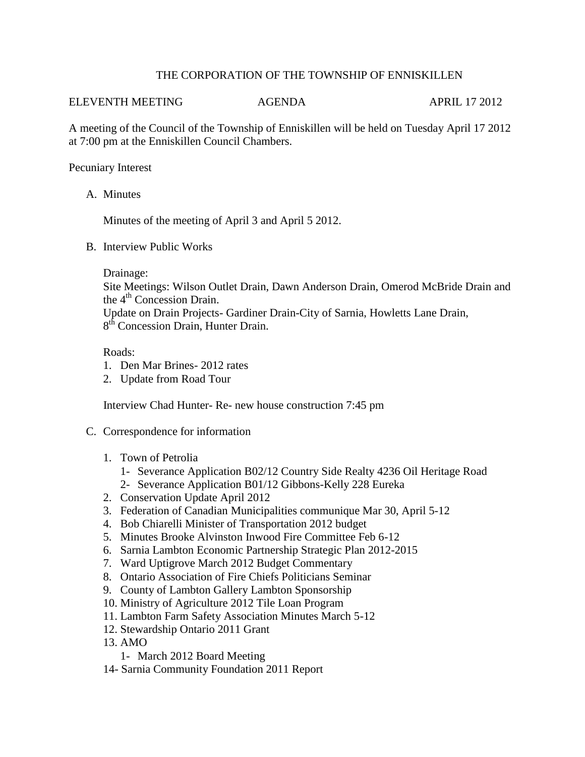# THE CORPORATION OF THE TOWNSHIP OF ENNISKILLEN

#### ELEVENTH MEETING AGENDA APRIL 17 2012

A meeting of the Council of the Township of Enniskillen will be held on Tuesday April 17 2012 at 7:00 pm at the Enniskillen Council Chambers.

# Pecuniary Interest

A. Minutes

Minutes of the meeting of April 3 and April 5 2012.

B. Interview Public Works

### Drainage:

Site Meetings: Wilson Outlet Drain, Dawn Anderson Drain, Omerod McBride Drain and the 4<sup>th</sup> Concession Drain.

Update on Drain Projects- Gardiner Drain-City of Sarnia, Howletts Lane Drain, 8<sup>th</sup> Concession Drain, Hunter Drain.

# Roads:

- 1. Den Mar Brines- 2012 rates
- 2. Update from Road Tour

Interview Chad Hunter- Re- new house construction 7:45 pm

### C. Correspondence for information

- 1. Town of Petrolia
	- 1- Severance Application B02/12 Country Side Realty 4236 Oil Heritage Road
	- 2- Severance Application B01/12 Gibbons-Kelly 228 Eureka
- 2. Conservation Update April 2012
- 3. Federation of Canadian Municipalities communique Mar 30, April 5-12
- 4. Bob Chiarelli Minister of Transportation 2012 budget
- 5. Minutes Brooke Alvinston Inwood Fire Committee Feb 6-12
- 6. Sarnia Lambton Economic Partnership Strategic Plan 2012-2015
- 7. Ward Uptigrove March 2012 Budget Commentary
- 8. Ontario Association of Fire Chiefs Politicians Seminar
- 9. County of Lambton Gallery Lambton Sponsorship
- 10. Ministry of Agriculture 2012 Tile Loan Program
- 11. Lambton Farm Safety Association Minutes March 5-12
- 12. Stewardship Ontario 2011 Grant
- 13. AMO
	- 1- March 2012 Board Meeting
- 14- Sarnia Community Foundation 2011 Report